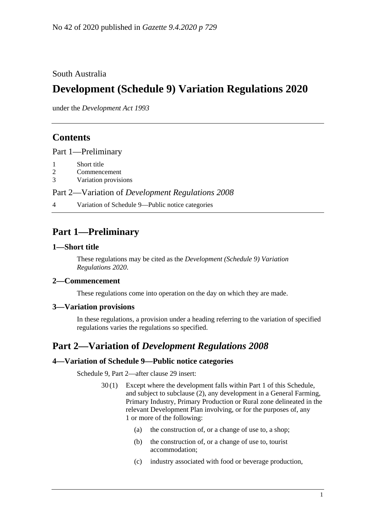South Australia

# **Development (Schedule 9) Variation Regulations 2020**

under the *Development Act 1993*

# **Contents**

Part [1—Preliminary](#page-0-0)

- 1 [Short title](#page-0-1)
- 2 [Commencement](#page-0-2)
- 3 [Variation provisions](#page-0-3)

Part 2—Variation of *[Development Regulations](#page-0-4) 2008*

4 [Variation of Schedule 9—Public notice categories](#page-0-5)

# <span id="page-0-0"></span>**Part 1—Preliminary**

### <span id="page-0-1"></span>**1—Short title**

These regulations may be cited as the *Development (Schedule 9) Variation Regulations 2020*.

## <span id="page-0-2"></span>**2—Commencement**

These regulations come into operation on the day on which they are made.

### <span id="page-0-3"></span>**3—Variation provisions**

In these regulations, a provision under a heading referring to the variation of specified regulations varies the regulations so specified.

# <span id="page-0-4"></span>**Part 2—Variation of** *Development Regulations 2008*

### <span id="page-0-5"></span>**4—Variation of Schedule 9—Public notice categories**

Schedule 9, Part 2—after clause 29 insert:

- 30 (1) Except where the development falls within Part 1 of this Schedule, and subject to [subclause](#page-1-0) (2), any development in a General Farming, Primary Industry, Primary Production or Rural zone delineated in the relevant Development Plan involving, or for the purposes of, any 1 or more of the following:
	- (a) the construction of, or a change of use to, a shop;
	- (b) the construction of, or a change of use to, tourist accommodation;
	- (c) industry associated with food or beverage production,